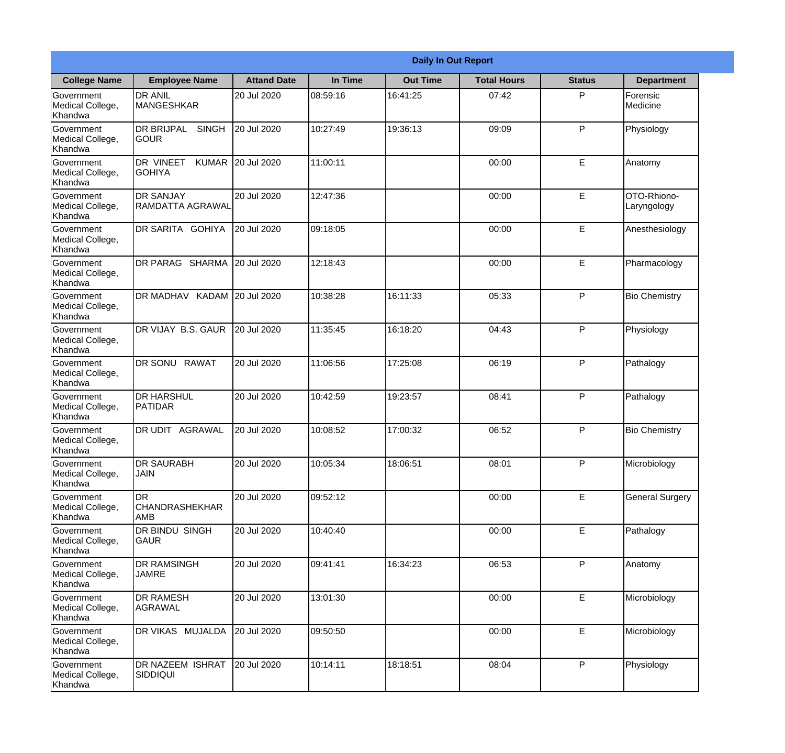|                                                  |                                                   |                    |          | <b>Daily In Out Report</b> |                    |               |                            |
|--------------------------------------------------|---------------------------------------------------|--------------------|----------|----------------------------|--------------------|---------------|----------------------------|
| <b>College Name</b>                              | <b>Employee Name</b>                              | <b>Attand Date</b> | In Time  | <b>Out Time</b>            | <b>Total Hours</b> | <b>Status</b> | <b>Department</b>          |
| Government<br>Medical College,<br>Khandwa        | <b>DR ANIL</b><br><b>MANGESHKAR</b>               | 20 Jul 2020        | 08:59:16 | 16:41:25                   | 07:42              | P             | Forensic<br>Medicine       |
| Government<br>Medical College,<br>Khandwa        | <b>DR BRIJPAL</b><br><b>SINGH</b><br> GOUR        | 20 Jul 2020        | 10:27:49 | 19:36:13                   | 09:09              | P             | Physiology                 |
| <b>Government</b><br>Medical College,<br>Khandwa | <b>DR VINEET</b><br><b>KUMAR</b><br><b>GOHIYA</b> | 20 Jul 2020        | 11:00:11 |                            | 00:00              | E             | Anatomy                    |
| <b>Government</b><br>Medical College,<br>Khandwa | <b>DR SANJAY</b><br>RAMDATTA AGRAWAL              | 20 Jul 2020        | 12:47:36 |                            | 00:00              | E             | OTO-Rhiono-<br>Laryngology |
| Government<br>Medical College,<br>Khandwa        | DR SARITA GOHIYA                                  | 20 Jul 2020        | 09:18:05 |                            | 00:00              | E             | Anesthesiology             |
| Government<br>Medical College,<br>Khandwa        | DR PARAG SHARMA                                   | 20 Jul 2020        | 12:18:43 |                            | 00:00              | E             | Pharmacology               |
| <b>Government</b><br>Medical College,<br>Khandwa | DR MADHAV KADAM 20 Jul 2020                       |                    | 10:38:28 | 16:11:33                   | 05:33              | P             | <b>Bio Chemistry</b>       |
| <b>Government</b><br>Medical College,<br>Khandwa | DR VIJAY B.S. GAUR                                | 20 Jul 2020        | 11:35:45 | 16:18:20                   | 04:43              | P             | Physiology                 |
| Government<br>Medical College,<br>Khandwa        | DR SONU RAWAT                                     | 20 Jul 2020        | 11:06:56 | 17:25:08                   | 06:19              | P             | Pathalogy                  |
| Government<br>Medical College,<br>Khandwa        | <b>DR HARSHUL</b><br>PATIDAR                      | 20 Jul 2020        | 10:42:59 | 19:23:57                   | 08:41              | P             | Pathalogy                  |
| Government<br>Medical College,<br>Khandwa        | IDR UDIT<br><b>AGRAWAL</b>                        | 20 Jul 2020        | 10:08:52 | 17:00:32                   | 06:52              | P             | <b>Bio Chemistry</b>       |
| Government<br>Medical College,<br>Khandwa        | <b>DR SAURABH</b><br><b>JAIN</b>                  | 20 Jul 2020        | 10:05:34 | 18:06:51                   | 08:01              | P             | Microbiology               |
| Government<br>Medical College,<br>Khandwa        | IDR.<br><b>CHANDRASHEKHAR</b><br>AMB              | 20 Jul 2020        | 09:52:12 |                            | 00:00              | E             | <b>General Surgery</b>     |
| Government<br>Medical College,<br>Khandwa        | <b>DR BINDU SINGH</b><br><b>GAUR</b>              | 20 Jul 2020        | 10:40:40 |                            | 00:00              | $\mathsf E$   | Pathalogy                  |
| Government<br>Medical College,<br>Khandwa        | <b>DR RAMSINGH</b><br><b>JAMRE</b>                | 20 Jul 2020        | 09:41:41 | 16:34:23                   | 06:53              | P             | Anatomy                    |
| Government<br>Medical College,<br>Khandwa        | <b>DR RAMESH</b><br>AGRAWAL                       | 20 Jul 2020        | 13:01:30 |                            | 00:00              | E             | Microbiology               |
| Government<br>Medical College,<br>Khandwa        | <b>DR VIKAS MUJALDA</b>                           | 20 Jul 2020        | 09:50:50 |                            | 00:00              | E             | Microbiology               |
| Government<br>Medical College,<br>Khandwa        | DR NAZEEM ISHRAT<br><b>SIDDIQUI</b>               | 20 Jul 2020        | 10:14:11 | 18:18:51                   | 08:04              | P             | Physiology                 |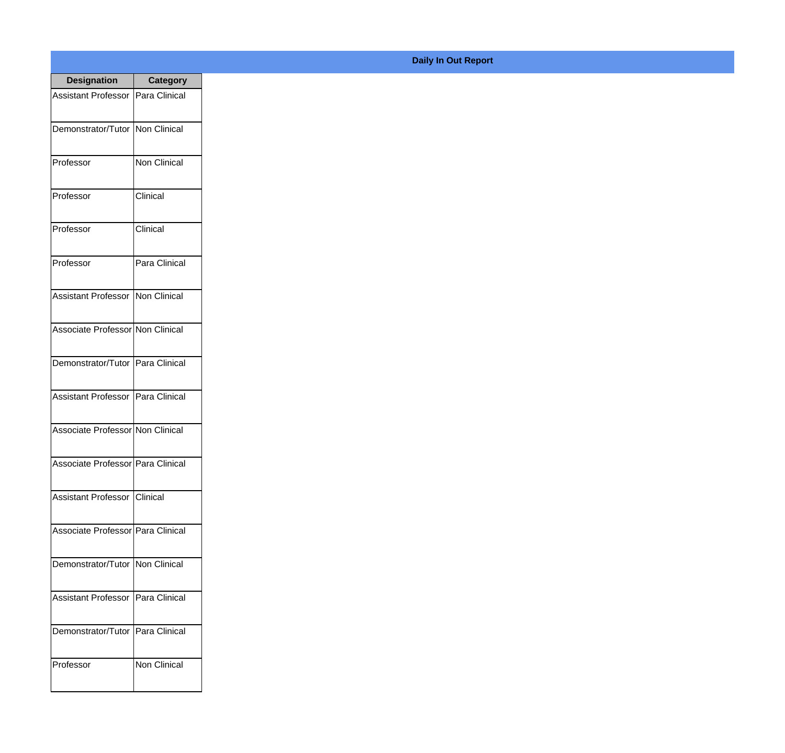| <b>Designation</b>                       | <b>Category</b> |
|------------------------------------------|-----------------|
| <b>Assistant Professor</b>               | Para Clinical   |
| Demonstrator/Tutor                       | Non Clinical    |
| Professor                                | Non Clinical    |
| Professor                                | Clinical        |
| Professor                                | Clinical        |
| Professor                                | Para Clinical   |
| <b>Assistant Professor INon Clinical</b> |                 |
| Associate Professor Non Clinical         |                 |
| Demonstrator/Tutor   Para Clinical       |                 |
| <b>Assistant Professor</b>               | Para Clinical   |
| Associate Professor Non Clinical         |                 |
| Associate Professor   Para Clinical      |                 |
| Assistant Professor Clinical             |                 |
| Associate Professor   Para Clinical      |                 |
| Demonstrator/Tutor   Non Clinical        |                 |
| <b>Assistant Professor</b>               | Para Clinical   |
| Demonstrator/Tutor   Para Clinical       |                 |
| Professor                                | Non Clinical    |

## **Daily In Out Report**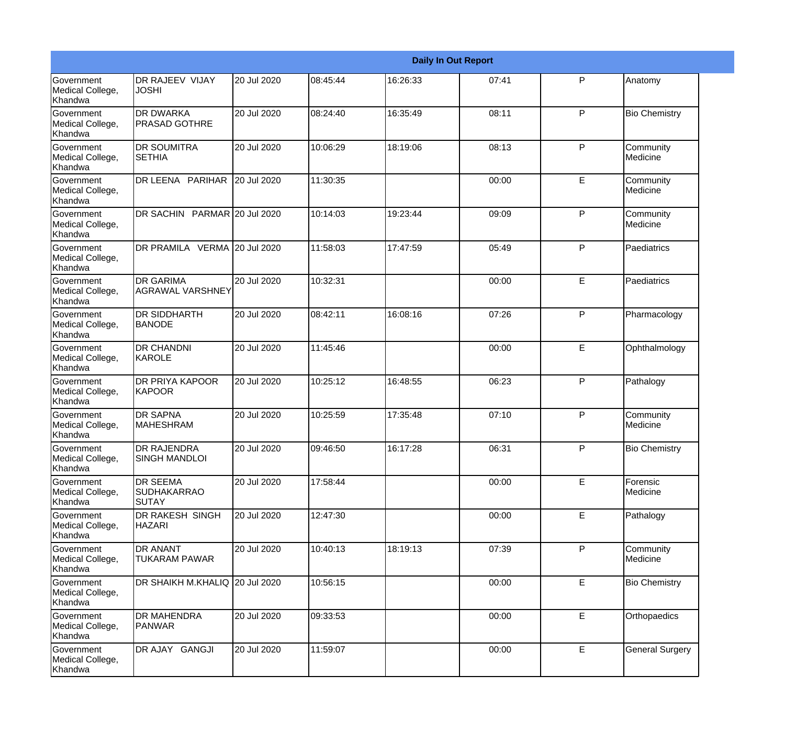|                                                  |                                                |             |          |          | <b>Daily In Out Report</b> |   |                        |
|--------------------------------------------------|------------------------------------------------|-------------|----------|----------|----------------------------|---|------------------------|
| Government<br>Medical College,<br>Khandwa        | <b>DR RAJEEV VIJAY</b><br><b>JOSHI</b>         | 20 Jul 2020 | 08:45:44 | 16:26:33 | 07:41                      | P | Anatomy                |
| Government<br>Medical College,<br>Khandwa        | <b>DR DWARKA</b><br><b>PRASAD GOTHRE</b>       | 20 Jul 2020 | 08:24:40 | 16:35:49 | 08:11                      | P | <b>Bio Chemistry</b>   |
| Government<br>Medical College,<br>Khandwa        | <b>DR SOUMITRA</b><br><b>SETHIA</b>            | 20 Jul 2020 | 10:06:29 | 18:19:06 | 08:13                      | P | Community<br>Medicine  |
| Government<br>Medical College,<br>Khandwa        | DR LEENA PARIHAR                               | 20 Jul 2020 | 11:30:35 |          | 00:00                      | E | Community<br>Medicine  |
| <b>Government</b><br>Medical College,<br>Khandwa | DR SACHIN PARMAR 20 Jul 2020                   |             | 10:14:03 | 19:23:44 | 09:09                      | P | Community<br>Medicine  |
| Government<br>Medical College,<br>Khandwa        | DR PRAMILA VERMA 20 Jul 2020                   |             | 11:58:03 | 17:47:59 | 05:49                      | P | Paediatrics            |
| <b>Government</b><br>Medical College,<br>Khandwa | <b>DR GARIMA</b><br>AGRAWAL VARSHNEY           | 20 Jul 2020 | 10:32:31 |          | 00:00                      | E | Paediatrics            |
| Government<br>Medical College,<br>Khandwa        | <b>DR SIDDHARTH</b><br><b>BANODE</b>           | 20 Jul 2020 | 08:42:11 | 16:08:16 | 07:26                      | P | Pharmacology           |
| <b>Government</b><br>Medical College,<br>Khandwa | <b>DR CHANDNI</b><br>KAROLE                    | 20 Jul 2020 | 11:45:46 |          | 00:00                      | E | Ophthalmology          |
| Government<br>Medical College,<br>Khandwa        | <b>DR PRIYA KAPOOR</b><br><b>KAPOOR</b>        | 20 Jul 2020 | 10:25:12 | 16:48:55 | 06:23                      | P | Pathalogy              |
| <b>Government</b><br>Medical College,<br>Khandwa | <b>DR SAPNA</b><br><b>MAHESHRAM</b>            | 20 Jul 2020 | 10:25:59 | 17:35:48 | 07:10                      | P | Community<br>Medicine  |
| Government<br>Medical College,<br>Khandwa        | <b>DR RAJENDRA</b><br><b>SINGH MANDLOI</b>     | 20 Jul 2020 | 09:46:50 | 16:17:28 | 06:31                      | P | <b>Bio Chemistry</b>   |
| Government<br>Medical College,<br>Khandwa        | <b>DR SEEMA</b><br><b>SUDHAKARRAO</b><br>SUTAY | 20 Jul 2020 | 17:58:44 |          | 00:00                      | E | Forensic<br>Medicine   |
| Government<br>Medical College,<br>Khandwa        | DR RAKESH SINGH<br><b>HAZARI</b>               | 20 Jul 2020 | 12:47:30 |          | 00:00                      | E | Pathalogy              |
| Government<br>Medical College,<br>Khandwa        | <b>DR ANANT</b><br><b>TUKARAM PAWAR</b>        | 20 Jul 2020 | 10:40:13 | 18:19:13 | 07:39                      | P | Community<br>Medicine  |
| Government<br>Medical College,<br>Khandwa        | DR SHAIKH M.KHALIQ 20 Jul 2020                 |             | 10:56:15 |          | 00:00                      | E | <b>Bio Chemistry</b>   |
| Government<br>Medical College,<br>Khandwa        | <b>DR MAHENDRA</b><br>PANWAR                   | 20 Jul 2020 | 09:33:53 |          | 00:00                      | E | Orthopaedics           |
| Government<br>Medical College,<br>Khandwa        | DR AJAY GANGJI                                 | 20 Jul 2020 | 11:59:07 |          | 00:00                      | E | <b>General Surgery</b> |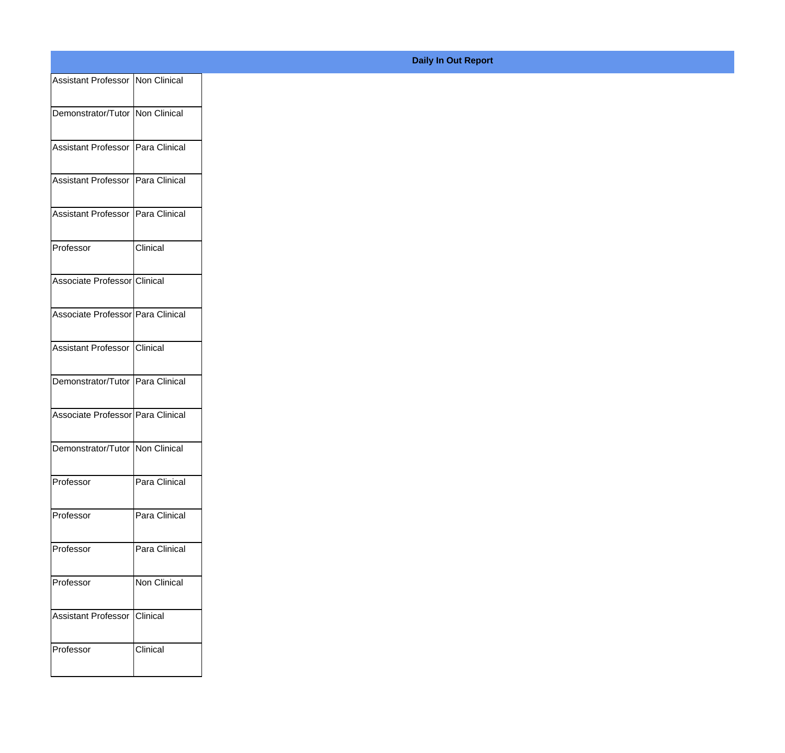| Assistant Professor Non Clinical    |               |
|-------------------------------------|---------------|
| Demonstrator/Tutor Non Clinical     |               |
|                                     |               |
| Assistant Professor Para Clinical   |               |
| Assistant Professor   Para Clinical |               |
| Assistant Professor   Para Clinical |               |
| Professor                           | Clinical      |
| Associate Professor Clinical        |               |
| Associate Professor Para Clinical   |               |
| Assistant Professor Clinical        |               |
| Demonstrator/Tutor Para Clinical    |               |
|                                     |               |
| Associate Professor Para Clinical   |               |
| Demonstrator/Tutor Non Clinical     |               |
| Professor                           | Para Clinical |
| Professor                           | Para Clinical |
| Professor                           | Para Clinical |
|                                     |               |
| Professor                           | Non Clinical  |
| Assistant Professor Clinical        |               |
| Professor                           | Clinical      |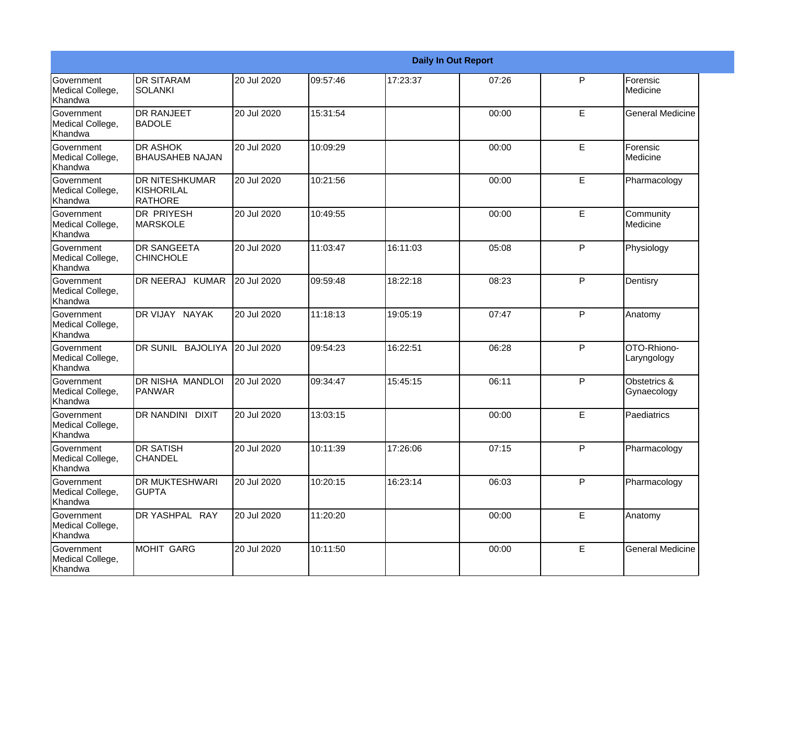|                                                  |                                                |             |          |          | <b>Daily In Out Report</b> |   |                             |
|--------------------------------------------------|------------------------------------------------|-------------|----------|----------|----------------------------|---|-----------------------------|
| <b>Government</b><br>Medical College,<br>Khandwa | <b>DR SITARAM</b><br><b>SOLANKI</b>            | 20 Jul 2020 | 09:57:46 | 17:23:37 | 07:26                      | P | Forensic<br>Medicine        |
| Government<br>Medical College,<br>Khandwa        | <b>DR RANJEET</b><br><b>BADOLE</b>             | 20 Jul 2020 | 15:31:54 |          | 00:00                      | E | <b>General Medicine</b>     |
| <b>Government</b><br>Medical College,<br>Khandwa | <b>DR ASHOK</b><br><b>BHAUSAHEB NAJAN</b>      | 20 Jul 2020 | 10:09:29 |          | 00:00                      | E | Forensic<br>Medicine        |
| <b>Government</b><br>Medical College,<br>Khandwa | <b>DR NITESHKUMAR</b><br>KISHORILAL<br>RATHORE | 20 Jul 2020 | 10:21:56 |          | 00:00                      | E | Pharmacology                |
| Government<br>Medical College,<br>Khandwa        | <b>DR PRIYESH</b><br><b>MARSKOLE</b>           | 20 Jul 2020 | 10:49:55 |          | 00:00                      | E | Community<br>Medicine       |
| Government<br>Medical College,<br>Khandwa        | <b>DR SANGEETA</b><br><b>CHINCHOLE</b>         | 20 Jul 2020 | 11:03:47 | 16:11:03 | 05:08                      | P | Physiology                  |
| Government<br>Medical College,<br>Khandwa        | DR NEERAJ KUMAR                                | 20 Jul 2020 | 09:59:48 | 18:22:18 | 08:23                      | P | Dentisry                    |
| Government<br>Medical College,<br>Khandwa        | DR VIJAY NAYAK                                 | 20 Jul 2020 | 11:18:13 | 19:05:19 | 07:47                      | P | Anatomy                     |
| Government<br>Medical College,<br>Khandwa        | DR SUNIL BAJOLIYA                              | 20 Jul 2020 | 09:54:23 | 16:22:51 | 06:28                      | P | OTO-Rhiono-<br>Laryngology  |
| Government<br>Medical College,<br>Khandwa        | <b>DR NISHA MANDLOI</b><br>PANWAR              | 20 Jul 2020 | 09:34:47 | 15:45:15 | 06:11                      | P | Obstetrics &<br>Gynaecology |
| <b>Government</b><br>Medical College,<br>Khandwa | <b>DR NANDINI</b><br><b>DIXIT</b>              | 20 Jul 2020 | 13:03:15 |          | 00:00                      | E | Paediatrics                 |
| Government<br>Medical College,<br>Khandwa        | <b>DR SATISH</b><br><b>CHANDEL</b>             | 20 Jul 2020 | 10:11:39 | 17:26:06 | 07:15                      | P | Pharmacology                |
| Government<br>Medical College,<br>Khandwa        | <b>DR MUKTESHWARI</b><br><b>GUPTA</b>          | 20 Jul 2020 | 10:20:15 | 16:23:14 | 06:03                      | P | Pharmacology                |
| Government<br>Medical College,<br>Khandwa        | DR YASHPAL RAY                                 | 20 Jul 2020 | 11:20:20 |          | 00:00                      | E | Anatomy                     |
| Government<br>Medical College,<br>Khandwa        | MOHIT GARG                                     | 20 Jul 2020 | 10:11:50 |          | 00:00                      | E | <b>General Medicine</b>     |